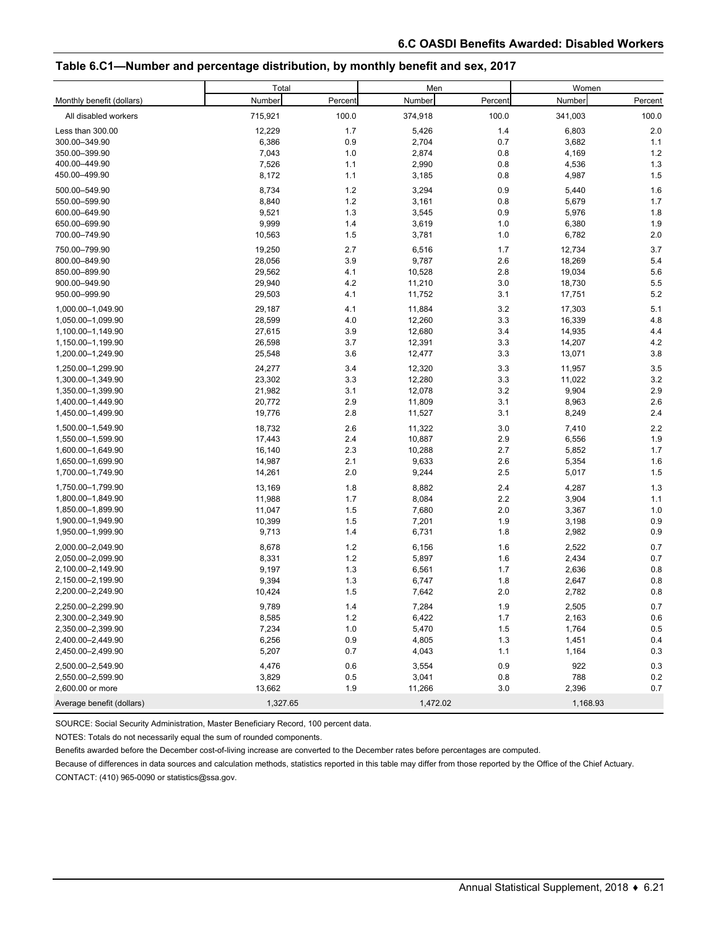## **Table 6.C1—Number and percentage distribution, by monthly benefit and sex, 2017**

|                           | Total    |         | Men      |         | Women    |         |
|---------------------------|----------|---------|----------|---------|----------|---------|
| Monthly benefit (dollars) | Number   | Percent | Number   | Percent | Number   | Percent |
| All disabled workers      | 715,921  | 100.0   | 374,918  | 100.0   | 341,003  | 100.0   |
| Less than 300.00          | 12,229   | 1.7     | 5,426    | 1.4     | 6,803    | 2.0     |
| 300.00-349.90             | 6,386    | 0.9     | 2,704    | 0.7     | 3,682    | 1.1     |
| 350.00-399.90             | 7,043    | 1.0     | 2,874    | 0.8     | 4,169    | 1.2     |
| 400.00-449.90             | 7,526    | 1.1     | 2,990    | 0.8     | 4,536    | 1.3     |
| 450.00-499.90             | 8,172    | 1.1     | 3,185    | 0.8     | 4,987    | 1.5     |
| 500.00-549.90             | 8,734    | 1.2     | 3,294    | 0.9     | 5,440    | 1.6     |
| 550.00-599.90             | 8,840    | 1.2     | 3,161    | 0.8     | 5,679    | 1.7     |
| 600.00-649.90             | 9,521    | 1.3     | 3,545    | 0.9     | 5,976    | 1.8     |
| 650.00-699.90             | 9,999    | 1.4     | 3,619    | 1.0     | 6,380    | 1.9     |
| 700.00-749.90             | 10,563   | 1.5     | 3,781    | 1.0     | 6,782    | 2.0     |
| 750.00-799.90             | 19,250   | 2.7     | 6,516    | 1.7     | 12,734   | 3.7     |
| 800.00-849.90             | 28,056   | 3.9     | 9,787    | 2.6     | 18,269   | 5.4     |
| 850.00-899.90             | 29,562   | 4.1     | 10,528   | 2.8     | 19,034   | 5.6     |
| 900.00-949.90             | 29,940   | 4.2     | 11,210   | 3.0     | 18,730   | 5.5     |
| 950.00-999.90             | 29,503   | 4.1     | 11,752   | 3.1     | 17,751   | 5.2     |
| 1,000.00-1,049.90         | 29,187   | 4.1     | 11,884   | 3.2     | 17,303   | 5.1     |
| 1,050.00-1,099.90         | 28,599   | 4.0     | 12,260   | 3.3     | 16,339   | 4.8     |
| 1,100.00-1,149.90         | 27,615   | 3.9     | 12,680   | 3.4     | 14,935   | 4.4     |
| 1,150.00-1,199.90         | 26,598   | 3.7     | 12,391   | 3.3     | 14,207   | 4.2     |
| 1,200.00-1,249.90         | 25,548   | 3.6     | 12,477   | 3.3     | 13,071   | 3.8     |
| 1.250.00-1.299.90         | 24,277   | 3.4     | 12,320   | 3.3     | 11,957   | 3.5     |
| 1,300.00-1,349.90         | 23,302   | 3.3     | 12,280   | 3.3     | 11,022   | 3.2     |
| 1,350.00-1,399.90         | 21,982   | 3.1     | 12,078   | 3.2     | 9,904    | 2.9     |
| 1,400.00-1,449.90         | 20,772   | 2.9     | 11,809   | 3.1     | 8,963    | 2.6     |
| 1,450.00-1,499.90         | 19,776   | 2.8     | 11,527   | 3.1     | 8,249    | 2.4     |
| 1,500.00-1,549.90         | 18,732   | 2.6     | 11,322   | 3.0     | 7,410    | 2.2     |
| 1,550.00-1,599.90         | 17,443   | 2.4     | 10,887   | 2.9     | 6,556    | 1.9     |
| 1,600.00-1,649.90         | 16,140   | 2.3     | 10,288   | 2.7     | 5,852    | 1.7     |
| 1,650.00-1,699.90         | 14,987   | 2.1     | 9,633    | 2.6     | 5,354    | 1.6     |
| 1,700.00-1,749.90         | 14,261   | 2.0     | 9,244    | 2.5     | 5,017    | 1.5     |
| 1,750.00-1,799.90         | 13,169   | 1.8     | 8,882    | 2.4     | 4,287    | 1.3     |
| 1,800.00-1,849.90         | 11,988   | 1.7     | 8,084    | 2.2     | 3,904    | 1.1     |
| 1,850.00-1,899.90         | 11,047   | 1.5     | 7,680    | 2.0     | 3,367    | 1.0     |
| 1,900.00-1,949.90         | 10,399   | 1.5     | 7,201    | 1.9     | 3,198    | 0.9     |
| 1,950.00-1,999.90         | 9,713    | 1.4     | 6,731    | 1.8     | 2,982    | 0.9     |
| 2.000.00-2.049.90         | 8,678    | 1.2     | 6,156    | 1.6     | 2,522    | 0.7     |
| 2,050.00-2,099.90         | 8,331    | $1.2$   | 5,897    | 1.6     | 2,434    | 0.7     |
| 2,100.00-2,149.90         | 9,197    | 1.3     | 6,561    | 1.7     | 2,636    | 0.8     |
| 2,150.00-2,199.90         | 9,394    | 1.3     | 6,747    | 1.8     | 2,647    | 0.8     |
| 2,200.00-2,249.90         | 10,424   | 1.5     | 7,642    | 2.0     | 2,782    | 0.8     |
| 2,250.00-2,299.90         | 9,789    | 1.4     | 7,284    | 1.9     | 2,505    | 0.7     |
| 2,300.00-2,349.90         | 8,585    | $1.2$   | 6,422    | 1.7     | 2,163    | 0.6     |
| 2,350.00-2,399.90         | 7,234    | $1.0$   | 5,470    | 1.5     | 1,764    | 0.5     |
| 2,400.00-2,449.90         | 6,256    | 0.9     | 4,805    | 1.3     | 1,451    | 0.4     |
| 2,450.00-2,499.90         | 5,207    | 0.7     | 4,043    | 1.1     | 1,164    | 0.3     |
| 2,500.00-2,549.90         | 4,476    | 0.6     | 3,554    | 0.9     | 922      | 0.3     |
| 2,550.00-2,599.90         | 3,829    | 0.5     | 3,041    | 0.8     | 788      | 0.2     |
| 2,600.00 or more          | 13,662   | 1.9     | 11,266   | 3.0     | 2,396    | 0.7     |
| Average benefit (dollars) | 1,327.65 |         | 1,472.02 |         | 1,168.93 |         |

SOURCE: Social Security Administration, Master Beneficiary Record, 100 percent data.

NOTES: Totals do not necessarily equal the sum of rounded components.

Benefits awarded before the December cost-of-living increase are converted to the December rates before percentages are computed.

Because of differences in data sources and calculation methods, statistics reported in this table may differ from those reported by the Office of the Chief Actuary. CONTACT: (410) 965-0090 or statistics@ssa.gov.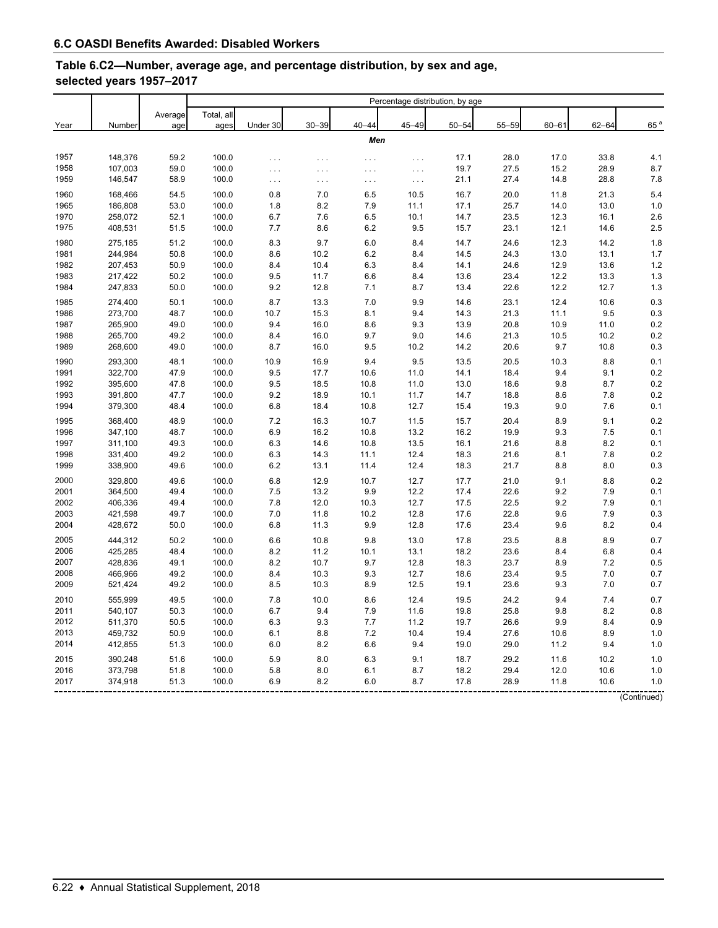## **Table 6.C2—Number, average age, and percentage distribution, by sex and age, selected years 1957–2017**

| Total, all<br>Average<br>$30 - 39$<br>$40 - 44$<br>$45 - 49$<br>$50 - 54$<br>Under 30<br>55-59<br>$60 - 61$<br>Number<br>ages<br>Year<br>age<br>Men<br>1957<br>148,376<br>59.2<br>100.0<br>28.0<br>17.0<br>17.1<br>$\cdots$<br>$\cdots$<br>$\cdots$<br>$\cdots$<br>59.0<br>107,003<br>27.5<br>15.2<br>1958<br>100.0<br>19.7<br>$\ldots$<br>$\sim$ $\sim$<br>$\cdots$<br>$\cdots$<br>146,547<br>58.9<br>100.0<br>21.1<br>27.4<br>14.8<br>1959<br>$\sim$ $\sim$<br>$\cdots$<br>$\cdots$<br>$\ldots$<br>1960<br>54.5<br>100.0<br>168,466<br>0.8<br>7.0<br>6.5<br>10.5<br>16.7<br>20.0<br>11.8<br>186,808<br>53.0<br>100.0<br>8.2<br>7.9<br>25.7<br>14.0<br>1965<br>1.8<br>11.1<br>17.1 | 65 <sup>a</sup><br>$62 - 64$<br>33.8<br>4.1<br>28.9<br>8.7 |
|-------------------------------------------------------------------------------------------------------------------------------------------------------------------------------------------------------------------------------------------------------------------------------------------------------------------------------------------------------------------------------------------------------------------------------------------------------------------------------------------------------------------------------------------------------------------------------------------------------------------------------------------------------------------------------------|------------------------------------------------------------|
|                                                                                                                                                                                                                                                                                                                                                                                                                                                                                                                                                                                                                                                                                     |                                                            |
|                                                                                                                                                                                                                                                                                                                                                                                                                                                                                                                                                                                                                                                                                     |                                                            |
|                                                                                                                                                                                                                                                                                                                                                                                                                                                                                                                                                                                                                                                                                     |                                                            |
|                                                                                                                                                                                                                                                                                                                                                                                                                                                                                                                                                                                                                                                                                     |                                                            |
|                                                                                                                                                                                                                                                                                                                                                                                                                                                                                                                                                                                                                                                                                     |                                                            |
|                                                                                                                                                                                                                                                                                                                                                                                                                                                                                                                                                                                                                                                                                     | 28.8<br>7.8                                                |
|                                                                                                                                                                                                                                                                                                                                                                                                                                                                                                                                                                                                                                                                                     | 5.4<br>21.3                                                |
|                                                                                                                                                                                                                                                                                                                                                                                                                                                                                                                                                                                                                                                                                     | 1.0<br>13.0                                                |
| 258,072<br>52.1<br>1970<br>100.0<br>6.7<br>7.6<br>6.5<br>10.1<br>14.7<br>23.5<br>12.3                                                                                                                                                                                                                                                                                                                                                                                                                                                                                                                                                                                               | 2.6<br>16.1                                                |
| 408,531<br>51.5<br>100.0<br>7.7<br>$6.2\,$<br>9.5<br>23.1<br>1975<br>8.6<br>15.7<br>12.1                                                                                                                                                                                                                                                                                                                                                                                                                                                                                                                                                                                            | 2.5<br>14.6                                                |
| 1980<br>51.2<br>100.0<br>275,185<br>8.3<br>9.7<br>6.0<br>8.4<br>14.7<br>24.6<br>12.3                                                                                                                                                                                                                                                                                                                                                                                                                                                                                                                                                                                                | 1.8<br>14.2                                                |
| 244,984<br>50.8<br>100.0<br>8.6<br>13.0<br>1981<br>10.2<br>6.2<br>8.4<br>14.5<br>24.3                                                                                                                                                                                                                                                                                                                                                                                                                                                                                                                                                                                               | 1.7<br>13.1                                                |
| 50.9<br>1982<br>207,453<br>100.0<br>8.4<br>10.4<br>6.3<br>8.4<br>14.1<br>24.6<br>12.9                                                                                                                                                                                                                                                                                                                                                                                                                                                                                                                                                                                               | 1.2<br>13.6                                                |
| 1983<br>217,422<br>50.2<br>100.0<br>9.5<br>11.7<br>12.2<br>6.6<br>8.4<br>13.6<br>23.4                                                                                                                                                                                                                                                                                                                                                                                                                                                                                                                                                                                               | 1.3<br>13.3                                                |
| 1984<br>247,833<br>50.0<br>100.0<br>9.2<br>12.8<br>7.1<br>8.7<br>13.4<br>22.6<br>12.2                                                                                                                                                                                                                                                                                                                                                                                                                                                                                                                                                                                               | 12.7<br>1.3                                                |
| 50.1<br>8.7<br>9.9<br>12.4<br>1985<br>274,400<br>100.0<br>13.3<br>7.0<br>14.6<br>23.1                                                                                                                                                                                                                                                                                                                                                                                                                                                                                                                                                                                               | 0.3<br>10.6                                                |
| 273,700<br>48.7<br>1986<br>100.0<br>10.7<br>15.3<br>8.1<br>9.4<br>14.3<br>21.3<br>11.1                                                                                                                                                                                                                                                                                                                                                                                                                                                                                                                                                                                              | 9.5<br>0.3                                                 |
| 1987<br>265,900<br>49.0<br>100.0<br>9.4<br>8.6<br>9.3<br>13.9<br>20.8<br>16.0<br>10.9                                                                                                                                                                                                                                                                                                                                                                                                                                                                                                                                                                                               | 0.2<br>11.0                                                |
| 265,700<br>49.2<br>100.0<br>8.4<br>1988<br>16.0<br>9.7<br>9.0<br>14.6<br>21.3<br>10.5                                                                                                                                                                                                                                                                                                                                                                                                                                                                                                                                                                                               | 0.2<br>10.2                                                |
| 268,600<br>49.0<br>100.0<br>8.7<br>9.5<br>9.7<br>1989<br>16.0<br>10.2<br>14.2<br>20.6                                                                                                                                                                                                                                                                                                                                                                                                                                                                                                                                                                                               | 0.3<br>10.8                                                |
| 9.4<br>9.5<br>1990<br>293,300<br>48.1<br>100.0<br>10.9<br>16.9<br>13.5<br>20.5<br>10.3                                                                                                                                                                                                                                                                                                                                                                                                                                                                                                                                                                                              | 0.1<br>8.8                                                 |
| 1991<br>322,700<br>47.9<br>100.0<br>9.5<br>17.7<br>14.1<br>18.4<br>10.6<br>11.0<br>9.4                                                                                                                                                                                                                                                                                                                                                                                                                                                                                                                                                                                              | 0.2<br>9.1                                                 |
| 395,600<br>47.8<br>100.0<br>9.5<br>18.5<br>9.8<br>1992<br>10.8<br>11.0<br>13.0<br>18.6                                                                                                                                                                                                                                                                                                                                                                                                                                                                                                                                                                                              | 0.2<br>8.7                                                 |
| 47.7<br>9.2<br>1993<br>391,800<br>100.0<br>18.9<br>10.1<br>11.7<br>14.7<br>18.8<br>8.6                                                                                                                                                                                                                                                                                                                                                                                                                                                                                                                                                                                              | 0.2<br>7.8                                                 |
| 1994<br>379,300<br>48.4<br>100.0<br>6.8<br>18.4<br>10.8<br>12.7<br>15.4<br>19.3<br>9.0                                                                                                                                                                                                                                                                                                                                                                                                                                                                                                                                                                                              | 7.6<br>0.1                                                 |
| 48.9<br>7.2<br>1995<br>368,400<br>100.0<br>16.3<br>10.7<br>11.5<br>15.7<br>20.4<br>8.9                                                                                                                                                                                                                                                                                                                                                                                                                                                                                                                                                                                              | 0.2<br>9.1                                                 |
| 347,100<br>48.7<br>100.0<br>6.9<br>16.2<br>1996<br>10.8<br>13.2<br>16.2<br>19.9<br>9.3                                                                                                                                                                                                                                                                                                                                                                                                                                                                                                                                                                                              | 0.1<br>7.5                                                 |
| 49.3<br>1997<br>311,100<br>100.0<br>6.3<br>14.6<br>10.8<br>13.5<br>16.1<br>21.6<br>8.8                                                                                                                                                                                                                                                                                                                                                                                                                                                                                                                                                                                              | 8.2<br>0.1                                                 |
| 1998<br>331,400<br>49.2<br>100.0<br>6.3<br>14.3<br>12.4<br>18.3<br>21.6<br>11.1<br>8.1                                                                                                                                                                                                                                                                                                                                                                                                                                                                                                                                                                                              | 0.2<br>7.8                                                 |
| 1999<br>338,900<br>49.6<br>100.0<br>6.2<br>12.4<br>18.3<br>21.7<br>13.1<br>11.4<br>8.8                                                                                                                                                                                                                                                                                                                                                                                                                                                                                                                                                                                              | 8.0<br>0.3                                                 |
| 329,800<br>49.6<br>100.0<br>6.8<br>12.9<br>10.7<br>21.0<br>2000<br>12.7<br>17.7<br>9.1                                                                                                                                                                                                                                                                                                                                                                                                                                                                                                                                                                                              | 0.2<br>8.8                                                 |
| 49.4<br>9.9<br>2001<br>364,500<br>100.0<br>7.5<br>13.2<br>12.2<br>17.4<br>22.6<br>9.2                                                                                                                                                                                                                                                                                                                                                                                                                                                                                                                                                                                               | 0.1<br>7.9                                                 |
| 2002<br>406,336<br>49.4<br>100.0<br>7.8<br>12.0<br>10.3<br>12.7<br>17.5<br>22.5<br>9.2                                                                                                                                                                                                                                                                                                                                                                                                                                                                                                                                                                                              | 7.9<br>0.1                                                 |
| 2003<br>421,598<br>49.7<br>100.0<br>7.0<br>22.8<br>11.8<br>10.2<br>12.8<br>17.6<br>9.6                                                                                                                                                                                                                                                                                                                                                                                                                                                                                                                                                                                              | 7.9<br>0.3                                                 |
| 2004<br>428,672<br>50.0<br>100.0<br>6.8<br>11.3<br>9.9<br>12.8<br>17.6<br>23.4<br>9.6                                                                                                                                                                                                                                                                                                                                                                                                                                                                                                                                                                                               | 8.2<br>0.4                                                 |
| 444,312<br>50.2<br>13.0<br>2005<br>100.0<br>6.6<br>10.8<br>9.8<br>17.8<br>23.5<br>8.8                                                                                                                                                                                                                                                                                                                                                                                                                                                                                                                                                                                               | 0.7<br>8.9                                                 |
| 2006<br>425,285<br>48.4<br>100.0<br>8.2<br>11.2<br>18.2<br>23.6<br>10.1<br>13.1<br>8.4                                                                                                                                                                                                                                                                                                                                                                                                                                                                                                                                                                                              | 6.8<br>0.4                                                 |
| 428,836<br>49.1<br>100.0<br>8.2<br>10.7<br>9.7<br>2007<br>12.8<br>18.3<br>23.7<br>8.9                                                                                                                                                                                                                                                                                                                                                                                                                                                                                                                                                                                               | 7.2<br>0.5                                                 |
| 2008<br>466,966<br>49.2<br>100.0<br>8.4<br>10.3<br>9.3<br>12.7<br>18.6<br>23.4<br>9.5                                                                                                                                                                                                                                                                                                                                                                                                                                                                                                                                                                                               | 7.0<br>0.7                                                 |
| 2009<br>521,424<br>49.2<br>100.0<br>8.5<br>10.3<br>8.9<br>12.5<br>19.1<br>23.6<br>9.3                                                                                                                                                                                                                                                                                                                                                                                                                                                                                                                                                                                               | 7.0<br>0.7                                                 |
| 555,999<br>49.5<br>100.0<br>7.8<br>10.0<br>8.6<br>12.4<br>19.5<br>24.2<br>9.4<br>2010                                                                                                                                                                                                                                                                                                                                                                                                                                                                                                                                                                                               | 7.4<br>0.7                                                 |
| 540,107<br>50.3<br>100.0<br>9.4<br>7.9<br>2011<br>6.7<br>11.6<br>19.8<br>25.8<br>9.8                                                                                                                                                                                                                                                                                                                                                                                                                                                                                                                                                                                                | 8.2<br>0.8                                                 |
| 2012<br>511,370<br>50.5<br>100.0<br>6.3<br>9.3<br>7.7<br>11.2<br>19.7<br>9.9<br>26.6                                                                                                                                                                                                                                                                                                                                                                                                                                                                                                                                                                                                | 8.4<br>0.9                                                 |
| 2013<br>459,732<br>50.9<br>100.0<br>6.1<br>8.8<br>7.2<br>10.4<br>19.4<br>27.6<br>10.6                                                                                                                                                                                                                                                                                                                                                                                                                                                                                                                                                                                               | 8.9<br>1.0                                                 |
| 2014<br>412,855<br>51.3<br>100.0<br>6.0<br>8.2<br>6.6<br>9.4<br>19.0<br>29.0<br>11.2                                                                                                                                                                                                                                                                                                                                                                                                                                                                                                                                                                                                | 9.4<br>1.0                                                 |
| 390,248<br>51.6<br>100.0<br>5.9<br>8.0<br>6.3<br>9.1<br>2015<br>18.7<br>29.2<br>11.6                                                                                                                                                                                                                                                                                                                                                                                                                                                                                                                                                                                                | 1.0<br>10.2                                                |
| 373,798<br>51.8<br>100.0<br>5.8<br>8.0<br>18.2<br>29.4<br>2016<br>6.1<br>8.7<br>12.0                                                                                                                                                                                                                                                                                                                                                                                                                                                                                                                                                                                                | 1.0<br>10.6                                                |
| 2017<br>6.9<br>374,918<br>51.3<br>100.0<br>8.2<br>6.0<br>8.7<br>17.8<br>28.9<br>11.8                                                                                                                                                                                                                                                                                                                                                                                                                                                                                                                                                                                                | 10.6<br>1.0                                                |

(Continued)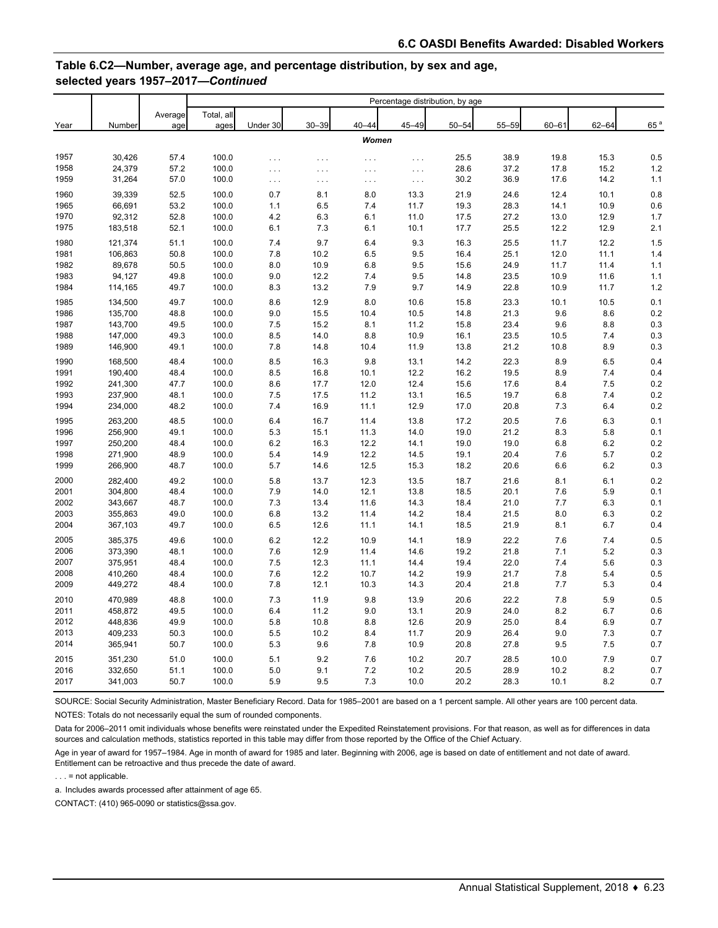## **Table 6.C2—Number, average age, and percentage distribution, by sex and age, selected years 1957–2017—***Continued*

|      |         |         | Percentage distribution, by age |          |           |           |                      |           |           |           |           |                 |
|------|---------|---------|---------------------------------|----------|-----------|-----------|----------------------|-----------|-----------|-----------|-----------|-----------------|
|      |         | Average | Total, all                      |          |           |           |                      |           |           |           |           |                 |
| Year | Number  | age     | ages                            | Under 30 | $30 - 39$ | $40 - 44$ | $45 - 49$            | $50 - 54$ | $55 - 59$ | $60 - 61$ | $62 - 64$ | 65 <sup>a</sup> |
|      |         |         |                                 |          |           | Women     |                      |           |           |           |           |                 |
| 1957 | 30,426  | 57.4    | 100.0                           | .        | $\cdots$  | $\ldots$  | .                    | 25.5      | 38.9      | 19.8      | 15.3      | 0.5             |
| 1958 | 24,379  | 57.2    | 100.0                           | $\ldots$ | $\cdots$  | $\cdots$  | $\ldots$             | 28.6      | 37.2      | 17.8      | 15.2      | 1.2             |
| 1959 | 31,264  | 57.0    | 100.0                           | $\ldots$ | $\cdots$  | $\ldots$  | $\sim$ $\sim$ $\sim$ | 30.2      | 36.9      | 17.6      | 14.2      | 1.1             |
| 1960 | 39,339  | 52.5    | 100.0                           | 0.7      | 8.1       | 8.0       | 13.3                 | 21.9      | 24.6      | 12.4      | 10.1      | 0.8             |
| 1965 | 66,691  | 53.2    | 100.0                           | 1.1      | 6.5       | 7.4       | 11.7                 | 19.3      | 28.3      | 14.1      | 10.9      | 0.6             |
| 1970 | 92,312  | 52.8    | 100.0                           | 4.2      | 6.3       | 6.1       | 11.0                 | 17.5      | 27.2      | 13.0      | 12.9      | 1.7             |
| 1975 | 183,518 | 52.1    | 100.0                           | 6.1      | 7.3       | 6.1       | 10.1                 | 17.7      | 25.5      | 12.2      | 12.9      | 2.1             |
| 1980 | 121,374 | 51.1    | 100.0                           | 7.4      | 9.7       | 6.4       | 9.3                  | 16.3      | 25.5      | 11.7      | 12.2      | 1.5             |
| 1981 | 106,863 | 50.8    | 100.0                           | 7.8      | 10.2      | 6.5       | 9.5                  | 16.4      | 25.1      | 12.0      | 11.1      | 1.4             |
| 1982 | 89,678  | 50.5    | 100.0                           | 8.0      | 10.9      | 6.8       | 9.5                  | 15.6      | 24.9      | 11.7      | 11.4      | 1.1             |
| 1983 | 94,127  | 49.8    | 100.0                           | 9.0      | 12.2      | 7.4       | 9.5                  | 14.8      | 23.5      | 10.9      | 11.6      | 1.1             |
| 1984 | 114,165 | 49.7    | 100.0                           | 8.3      | 13.2      | 7.9       | 9.7                  | 14.9      | 22.8      | 10.9      | 11.7      | 1.2             |
| 1985 | 134,500 | 49.7    | 100.0                           | 8.6      | 12.9      | 8.0       | 10.6                 | 15.8      | 23.3      | 10.1      | 10.5      | 0.1             |
| 1986 | 135,700 | 48.8    | 100.0                           | 9.0      | 15.5      | 10.4      | 10.5                 | 14.8      | 21.3      | 9.6       | 8.6       | 0.2             |
| 1987 | 143,700 | 49.5    | 100.0                           | 7.5      | 15.2      | 8.1       | 11.2                 | 15.8      | 23.4      | 9.6       | 8.8       | 0.3             |
| 1988 | 147,000 | 49.3    | 100.0                           | 8.5      | 14.0      | 8.8       | 10.9                 | 16.1      | 23.5      | 10.5      | 7.4       | 0.3             |
| 1989 | 146,900 | 49.1    | 100.0                           | 7.8      | 14.8      | 10.4      | 11.9                 | 13.8      | 21.2      | 10.8      | 8.9       | 0.3             |
| 1990 | 168,500 | 48.4    | 100.0                           | 8.5      | 16.3      | 9.8       | 13.1                 | 14.2      | 22.3      | 8.9       | 6.5       | 0.4             |
| 1991 | 190,400 | 48.4    | 100.0                           | 8.5      | 16.8      | 10.1      | 12.2                 | 16.2      | 19.5      | 8.9       | 7.4       | 0.4             |
| 1992 | 241,300 | 47.7    | 100.0                           | 8.6      | 17.7      | 12.0      | 12.4                 | 15.6      | 17.6      | 8.4       | 7.5       | 0.2             |
| 1993 | 237,900 | 48.1    | 100.0                           | 7.5      | 17.5      | 11.2      | 13.1                 | 16.5      | 19.7      | 6.8       | 7.4       | 0.2             |
| 1994 | 234,000 | 48.2    | 100.0                           | 7.4      | 16.9      | 11.1      | 12.9                 | 17.0      | 20.8      | 7.3       | 6.4       | 0.2             |
| 1995 | 263,200 | 48.5    | 100.0                           | 6.4      | 16.7      | 11.4      | 13.8                 | 17.2      | 20.5      | 7.6       | 6.3       | 0.1             |
| 1996 | 256,900 | 49.1    | 100.0                           | 5.3      | 15.1      | 11.3      | 14.0                 | 19.0      | 21.2      | 8.3       | 5.8       | 0.1             |
| 1997 | 250,200 | 48.4    | 100.0                           | 6.2      | 16.3      | 12.2      | 14.1                 | 19.0      | 19.0      | 6.8       | 6.2       | 0.2             |
| 1998 | 271,900 | 48.9    | 100.0                           | 5.4      | 14.9      | 12.2      | 14.5                 | 19.1      | 20.4      | 7.6       | 5.7       | 0.2             |
| 1999 | 266,900 | 48.7    | 100.0                           | 5.7      | 14.6      | 12.5      | 15.3                 | 18.2      | 20.6      | 6.6       | 6.2       | 0.3             |
| 2000 | 282,400 | 49.2    | 100.0                           | 5.8      | 13.7      | 12.3      | 13.5                 | 18.7      | 21.6      | 8.1       | 6.1       | 0.2             |
| 2001 | 304,800 | 48.4    | 100.0                           | 7.9      | 14.0      | 12.1      | 13.8                 | 18.5      | 20.1      | 7.6       | 5.9       | 0.1             |
| 2002 | 343,667 | 48.7    | 100.0                           | 7.3      | 13.4      | 11.6      | 14.3                 | 18.4      | 21.0      | 7.7       | 6.3       | 0.1             |
| 2003 | 355,863 | 49.0    | 100.0                           | 6.8      | 13.2      | 11.4      | 14.2                 | 18.4      | 21.5      | 8.0       | 6.3       | 0.2             |
| 2004 | 367,103 | 49.7    | 100.0                           | 6.5      | 12.6      | 11.1      | 14.1                 | 18.5      | 21.9      | 8.1       | 6.7       | 0.4             |
| 2005 | 385,375 | 49.6    | 100.0                           | 6.2      | 12.2      | 10.9      | 14.1                 | 18.9      | 22.2      | 7.6       | 7.4       | 0.5             |
| 2006 | 373,390 | 48.1    | 100.0                           | 7.6      | 12.9      | 11.4      | 14.6                 | 19.2      | 21.8      | 7.1       | 5.2       | 0.3             |
| 2007 | 375,951 | 48.4    | 100.0                           | 7.5      | 12.3      | 11.1      | 14.4                 | 19.4      | 22.0      | 7.4       | 5.6       | 0.3             |
| 2008 | 410,260 | 48.4    | 100.0                           | 7.6      | 12.2      | 10.7      | 14.2                 | 19.9      | 21.7      | 7.8       | 5.4       | 0.5             |
| 2009 | 449,272 | 48.4    | 100.0                           | 7.8      | 12.1      | 10.3      | 14.3                 | 20.4      | 21.8      | 7.7       | 5.3       | 0.4             |
| 2010 | 470,989 | 48.8    | 100.0                           | 7.3      | 11.9      | 9.8       | 13.9                 | 20.6      | 22.2      | 7.8       | 5.9       | 0.5             |
| 2011 | 458,872 | 49.5    | 100.0                           | 6.4      | 11.2      | 9.0       | 13.1                 | 20.9      | 24.0      | 8.2       | 6.7       | 0.6             |
| 2012 | 448,836 | 49.9    | 100.0                           | 5.8      | 10.8      | 8.8       | 12.6                 | 20.9      | 25.0      | 8.4       | 6.9       | 0.7             |
| 2013 | 409,233 | 50.3    | 100.0                           | 5.5      | 10.2      | 8.4       | 11.7                 | 20.9      | 26.4      | 9.0       | 7.3       | 0.7             |
| 2014 | 365,941 | 50.7    | 100.0                           | 5.3      | 9.6       | 7.8       | 10.9                 | 20.8      | 27.8      | 9.5       | 7.5       | 0.7             |
| 2015 | 351,230 | 51.0    | 100.0                           | 5.1      | 9.2       | 7.6       | 10.2                 | 20.7      | 28.5      | 10.0      | 7.9       | 0.7             |
| 2016 | 332,650 | 51.1    | 100.0                           | 5.0      | 9.1       | 7.2       | 10.2                 | 20.5      | 28.9      | 10.2      | 8.2       | 0.7             |
| 2017 | 341,003 | 50.7    | 100.0                           | 5.9      | 9.5       | 7.3       | 10.0                 | 20.2      | 28.3      | 10.1      | 8.2       | 0.7             |

SOURCE: Social Security Administration, Master Beneficiary Record. Data for 1985–2001 are based on a 1 percent sample. All other years are 100 percent data. NOTES: Totals do not necessarily equal the sum of rounded components.

Data for 2006–2011 omit individuals whose benefits were reinstated under the Expedited Reinstatement provisions. For that reason, as well as for differences in data sources and calculation methods, statistics reported in this table may differ from those reported by the Office of the Chief Actuary.

Age in year of award for 1957–1984. Age in month of award for 1985 and later. Beginning with 2006, age is based on date of entitlement and not date of award. Entitlement can be retroactive and thus precede the date of award.

 $\ldots$  = not applicable.

a. Includes awards processed after attainment of age 65.

CONTACT: (410) 965-0090 or statistics@ssa.gov.